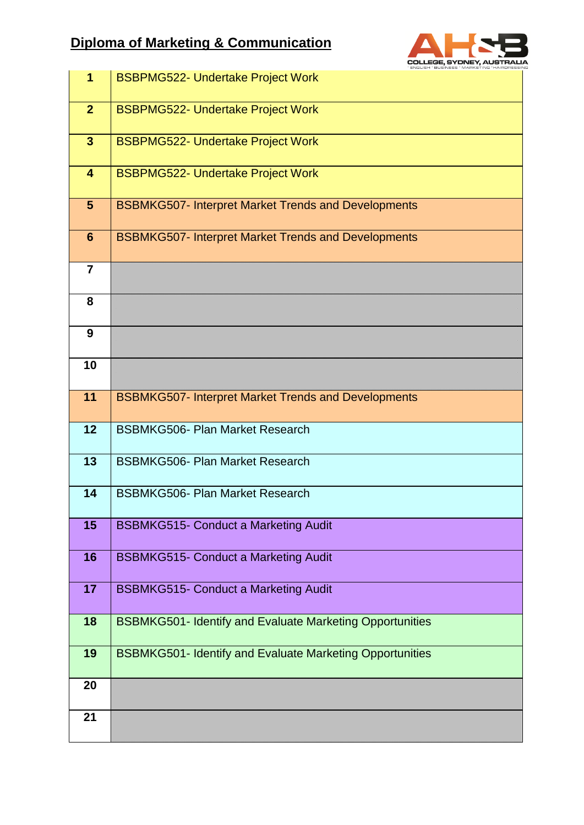## **Diploma of Marketing & Communication**



| $\overline{1}$          | <b>BSBPMG522- Undertake Project Work</b>                        |
|-------------------------|-----------------------------------------------------------------|
| $\overline{2}$          | <b>BSBPMG522- Undertake Project Work</b>                        |
| $\overline{\mathbf{3}}$ | <b>BSBPMG522- Undertake Project Work</b>                        |
| $\overline{\mathbf{4}}$ | <b>BSBPMG522- Undertake Project Work</b>                        |
| $5\phantom{.}$          | <b>BSBMKG507- Interpret Market Trends and Developments</b>      |
| $6\phantom{1}6$         | <b>BSBMKG507- Interpret Market Trends and Developments</b>      |
| $\overline{7}$          |                                                                 |
| 8                       |                                                                 |
| 9                       |                                                                 |
| 10                      |                                                                 |
| 11                      | <b>BSBMKG507- Interpret Market Trends and Developments</b>      |
| 12                      | <b>BSBMKG506- Plan Market Research</b>                          |
| 13                      | <b>BSBMKG506- Plan Market Research</b>                          |
| 14                      | <b>BSBMKG506- Plan Market Research</b>                          |
| 15                      | <b>BSBMKG515- Conduct a Marketing Audit</b>                     |
| 16                      | <b>BSBMKG515- Conduct a Marketing Audit</b>                     |
| 17                      | <b>BSBMKG515- Conduct a Marketing Audit</b>                     |
| 18                      | <b>BSBMKG501- Identify and Evaluate Marketing Opportunities</b> |
| 19                      | <b>BSBMKG501- Identify and Evaluate Marketing Opportunities</b> |
| 20                      |                                                                 |
| 21                      |                                                                 |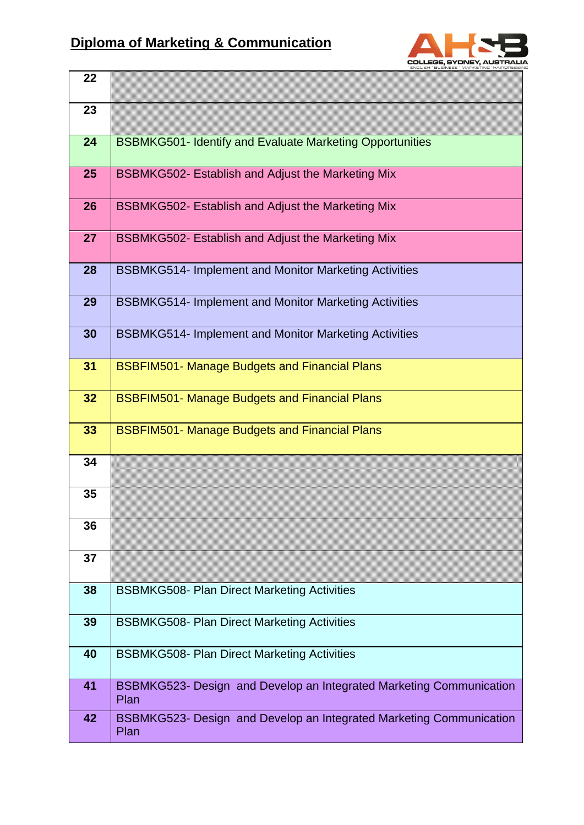

| 22 |                                                                             |
|----|-----------------------------------------------------------------------------|
| 23 |                                                                             |
| 24 | <b>BSBMKG501- Identify and Evaluate Marketing Opportunities</b>             |
| 25 | BSBMKG502- Establish and Adjust the Marketing Mix                           |
| 26 | BSBMKG502- Establish and Adjust the Marketing Mix                           |
| 27 | BSBMKG502- Establish and Adjust the Marketing Mix                           |
| 28 | <b>BSBMKG514- Implement and Monitor Marketing Activities</b>                |
| 29 | <b>BSBMKG514- Implement and Monitor Marketing Activities</b>                |
| 30 | <b>BSBMKG514- Implement and Monitor Marketing Activities</b>                |
| 31 | <b>BSBFIM501- Manage Budgets and Financial Plans</b>                        |
| 32 | <b>BSBFIM501- Manage Budgets and Financial Plans</b>                        |
| 33 | <b>BSBFIM501- Manage Budgets and Financial Plans</b>                        |
| 34 |                                                                             |
| 35 |                                                                             |
| 36 |                                                                             |
| 37 |                                                                             |
| 38 | <b>BSBMKG508- Plan Direct Marketing Activities</b>                          |
| 39 | <b>BSBMKG508- Plan Direct Marketing Activities</b>                          |
| 40 | <b>BSBMKG508- Plan Direct Marketing Activities</b>                          |
| 41 | BSBMKG523- Design and Develop an Integrated Marketing Communication<br>Plan |
| 42 | BSBMKG523- Design and Develop an Integrated Marketing Communication<br>Plan |